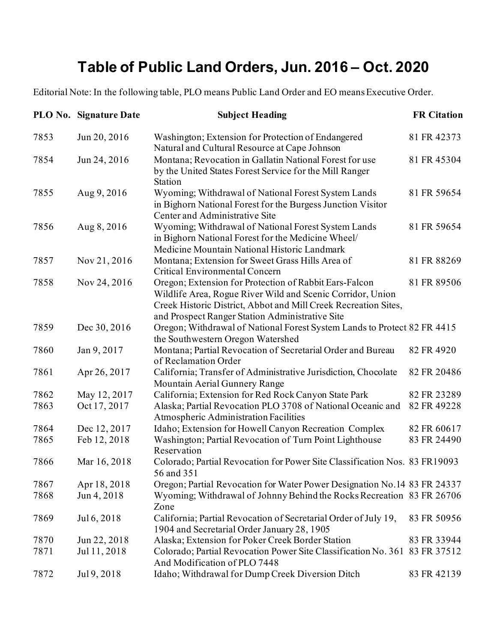## **Table of Public Land Orders, Jun. 2016 – Oct. 2020**

Editorial Note: In the following table, PLO means Public Land Order and EO means Executive Order.

|      | <b>PLO No. Signature Date</b> | <b>Subject Heading</b>                                                                                                                                                                                                                     | <b>FR</b> Citation |
|------|-------------------------------|--------------------------------------------------------------------------------------------------------------------------------------------------------------------------------------------------------------------------------------------|--------------------|
| 7853 | Jun 20, 2016                  | Washington; Extension for Protection of Endangered<br>Natural and Cultural Resource at Cape Johnson                                                                                                                                        | 81 FR 42373        |
| 7854 | Jun 24, 2016                  | Montana; Revocation in Gallatin National Forest for use<br>by the United States Forest Service for the Mill Ranger<br>Station                                                                                                              | 81 FR 45304        |
| 7855 | Aug 9, 2016                   | Wyoming; Withdrawal of National Forest System Lands<br>in Bighorn National Forest for the Burgess Junction Visitor<br>Center and Administrative Site                                                                                       | 81 FR 59654        |
| 7856 | Aug 8, 2016                   | Wyoming; Withdrawal of National Forest System Lands<br>in Bighorn National Forest for the Medicine Wheel/<br>Medicine Mountain National Historic Landmark                                                                                  | 81 FR 59654        |
| 7857 | Nov 21, 2016                  | Montana; Extension for Sweet Grass Hills Area of<br>Critical Environmental Concern                                                                                                                                                         | 81 FR 88269        |
| 7858 | Nov 24, 2016                  | Oregon; Extension for Protection of Rabbit Ears-Falcon<br>Wildlife Area, Rogue River Wild and Scenic Corridor, Union<br>Creek Historic District, Abbot and Mill Creek Recreation Sites,<br>and Prospect Ranger Station Administrative Site | 81 FR 89506        |
| 7859 | Dec 30, 2016                  | Oregon; Withdrawal of National Forest System Lands to Protect 82 FR 4415<br>the Southwestern Oregon Watershed                                                                                                                              |                    |
| 7860 | Jan 9, 2017                   | Montana; Partial Revocation of Secretarial Order and Bureau<br>of Reclamation Order                                                                                                                                                        | 82 FR 4920         |
| 7861 | Apr 26, 2017                  | California; Transfer of Administrative Jurisdiction, Chocolate<br>Mountain Aerial Gunnery Range                                                                                                                                            | 82 FR 20486        |
| 7862 | May 12, 2017                  | California; Extension for Red Rock Canyon State Park                                                                                                                                                                                       | 82 FR 23289        |
| 7863 | Oct 17, 2017                  | Alaska; Partial Revocation PLO 3708 of National Oceanic and<br>Atmospheric Administration Facilities                                                                                                                                       | 82 FR 49228        |
| 7864 | Dec 12, 2017                  | Idaho; Extension for Howell Canyon Recreation Complex                                                                                                                                                                                      | 82 FR 60617        |
| 7865 | Feb 12, 2018                  | Washington; Partial Revocation of Turn Point Lighthouse<br>Reservation                                                                                                                                                                     | 83 FR 24490        |
| 7866 | Mar 16, 2018                  | Colorado; Partial Revocation for Power Site Classification Nos. 83 FR19093<br>56 and 351                                                                                                                                                   |                    |
| 7867 | Apr 18, 2018                  | Oregon; Partial Revocation for Water Power Designation No. 14 83 FR 24337                                                                                                                                                                  |                    |
| 7868 | Jun 4, 2018                   | Wyoming; Withdrawal of Johnny Behind the Rocks Recreation 83 FR 26706<br>Zone                                                                                                                                                              |                    |
| 7869 | Jul 6, 2018                   | California; Partial Revocation of Secretarial Order of July 19,<br>1904 and Secretarial Order January 28, 1905                                                                                                                             | 83 FR 50956        |
| 7870 | Jun 22, 2018                  | Alaska; Extension for Poker Creek Border Station                                                                                                                                                                                           | 83 FR 33944        |
| 7871 | Jul 11, 2018                  | Colorado; Partial Revocation Power Site Classification No. 361 83 FR 37512<br>And Modification of PLO 7448                                                                                                                                 |                    |
| 7872 | Jul 9, 2018                   | Idaho; Withdrawal for Dump Creek Diversion Ditch                                                                                                                                                                                           | 83 FR 42139        |